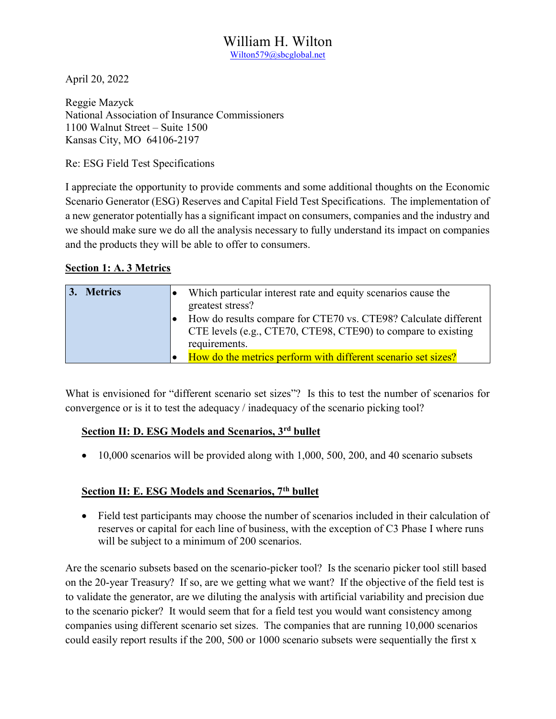## William H. Wilton Wilton579@sbcglobal.net

April 20, 2022

Reggie Mazyck National Association of Insurance Commissioners 1100 Walnut Street – Suite 1500 Kansas City, MO 64106-2197

Re: ESG Field Test Specifications

I appreciate the opportunity to provide comments and some additional thoughts on the Economic Scenario Generator (ESG) Reserves and Capital Field Test Specifications. The implementation of a new generator potentially has a significant impact on consumers, companies and the industry and we should make sure we do all the analysis necessary to fully understand its impact on companies and the products they will be able to offer to consumers.

### Section 1: A. 3 Metrics

| 3. Metrics | Which particular interest rate and equity scenarios cause the<br>greatest stress?<br>How do results compare for CTE70 vs. CTE98? Calculate different<br>CTE levels (e.g., CTE70, CTE98, CTE90) to compare to existing<br>requirements. |
|------------|----------------------------------------------------------------------------------------------------------------------------------------------------------------------------------------------------------------------------------------|
|            | How do the metrics perform with different scenario set sizes?                                                                                                                                                                          |

What is envisioned for "different scenario set sizes"? Is this to test the number of scenarios for convergence or is it to test the adequacy / inadequacy of the scenario picking tool?

# Section II: D. ESG Models and Scenarios, 3rd bullet

 $\bullet$  10,000 scenarios will be provided along with 1,000, 500, 200, and 40 scenario subsets

### Section II: E. ESG Models and Scenarios, 7<sup>th</sup> bullet

• Field test participants may choose the number of scenarios included in their calculation of reserves or capital for each line of business, with the exception of C3 Phase I where runs will be subject to a minimum of 200 scenarios.

Are the scenario subsets based on the scenario-picker tool? Is the scenario picker tool still based on the 20-year Treasury? If so, are we getting what we want? If the objective of the field test is to validate the generator, are we diluting the analysis with artificial variability and precision due to the scenario picker? It would seem that for a field test you would want consistency among companies using different scenario set sizes. The companies that are running 10,000 scenarios could easily report results if the 200, 500 or 1000 scenario subsets were sequentially the first x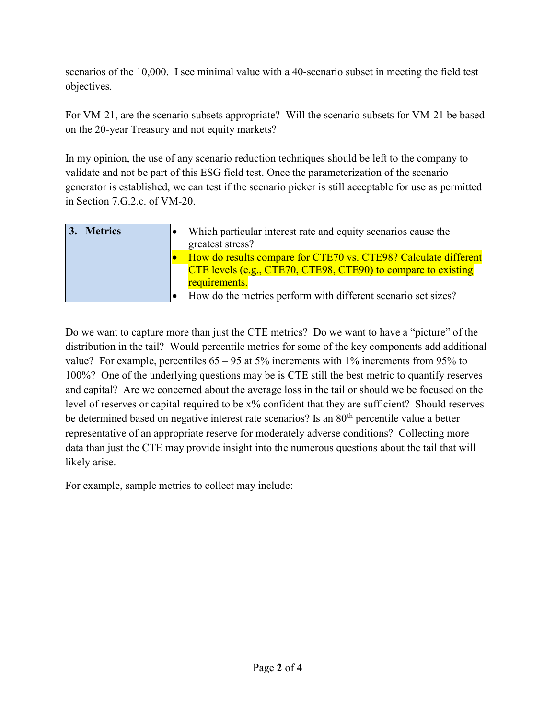scenarios of the 10,000. I see minimal value with a 40-scenario subset in meeting the field test objectives.

For VM-21, are the scenario subsets appropriate? Will the scenario subsets for VM-21 be based on the 20-year Treasury and not equity markets?

In my opinion, the use of any scenario reduction techniques should be left to the company to validate and not be part of this ESG field test. Once the parameterization of the scenario generator is established, we can test if the scenario picker is still acceptable for use as permitted in Section 7.G.2.c. of VM-20.

| 3. Metrics | Which particular interest rate and equity scenarios cause the<br>greatest stress? |
|------------|-----------------------------------------------------------------------------------|
|            | How do results compare for CTE70 vs. CTE98? Calculate different                   |
|            | CTE levels (e.g., CTE70, CTE98, CTE90) to compare to existing                     |
|            | requirements.                                                                     |
|            | How do the metrics perform with different scenario set sizes?                     |

Do we want to capture more than just the CTE metrics? Do we want to have a "picture" of the distribution in the tail? Would percentile metrics for some of the key components add additional value? For example, percentiles 65 – 95 at 5% increments with 1% increments from 95% to 100%? One of the underlying questions may be is CTE still the best metric to quantify reserves and capital? Are we concerned about the average loss in the tail or should we be focused on the level of reserves or capital required to be x% confident that they are sufficient? Should reserves be determined based on negative interest rate scenarios? Is an 80<sup>th</sup> percentile value a better representative of an appropriate reserve for moderately adverse conditions? Collecting more data than just the CTE may provide insight into the numerous questions about the tail that will likely arise.

For example, sample metrics to collect may include: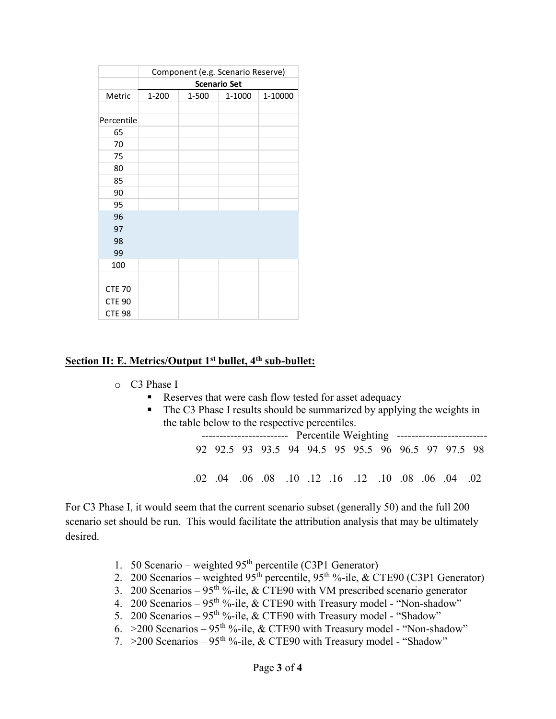|                                |                     |           | Component (e.g. Scenario Reserve) |         |
|--------------------------------|---------------------|-----------|-----------------------------------|---------|
|                                | <b>Scenario Set</b> |           |                                   |         |
| Metric                         | $1 - 200$           | $1 - 500$ | $1 - 1000$                        | 1-10000 |
|                                |                     |           |                                   |         |
| Percentile                     |                     |           |                                   |         |
| 65                             |                     |           |                                   |         |
| $70\,$                         |                     |           |                                   |         |
| 75                             |                     |           |                                   |         |
| $80\,$                         |                     |           |                                   |         |
| 85                             |                     |           |                                   |         |
| $90\,$                         |                     |           |                                   |         |
|                                |                     |           |                                   |         |
| 95                             |                     |           |                                   |         |
| 96                             |                     |           |                                   |         |
| 97                             |                     |           |                                   |         |
| 98                             |                     |           |                                   |         |
| 99                             |                     |           |                                   |         |
| $100\,$                        |                     |           |                                   |         |
|                                |                     |           |                                   |         |
| <b>CTE 70</b>                  |                     |           |                                   |         |
| <b>CTE 90</b><br><b>CTE 98</b> |                     |           |                                   |         |

### Section II: E. Metrics/Output 1<sup>st</sup> bullet, 4<sup>th</sup> sub-bullet:

- o C3 Phase I
	- Reserves that were cash flow tested for asset adequacy
	- The C3 Phase I results should be summarized by applying the weights in the table below to the respective percentiles.

 ------------------------ Percentile Weighting ------------------------- 92 92.5 93 93.5 94 94.5 95 95.5 96 96.5 97 97.5 98 .02 .04 .06 .08 .10 .12 .16 .12 .10 .08 .06 .04 .02

For C3 Phase I, it would seem that the current scenario subset (generally 50) and the full 200 scenario set should be run. This would facilitate the attribution analysis that may be ultimately desired.

- 1. 50 Scenario weighted  $95<sup>th</sup>$  percentile (C3P1 Generator)
- 2. 200 Scenarios weighted  $95<sup>th</sup>$  percentile,  $95<sup>th</sup>$ %-ile, & CTE90 (C3P1 Generator)
- 3. 200 Scenarios 95<sup>th %-ile, & CTE90 with VM prescribed scenario generator</sup>
- 4. 200 Scenarios  $95<sup>th</sup>$ %-ile, & CTE90 with Treasury model "Non-shadow"
- 5. 200 Scenarios 95<sup>th %-ile, & CTE90 with Treasury model "Shadow"</sup>
- 6. > 200 Scenarios 95<sup>th %-</sup>ile, & CTE90 with Treasury model "Non-shadow"
- 7.  $>200$  Scenarios 95<sup>th %-ile, & CTE90 with Treasury model "Shadow"</sup>